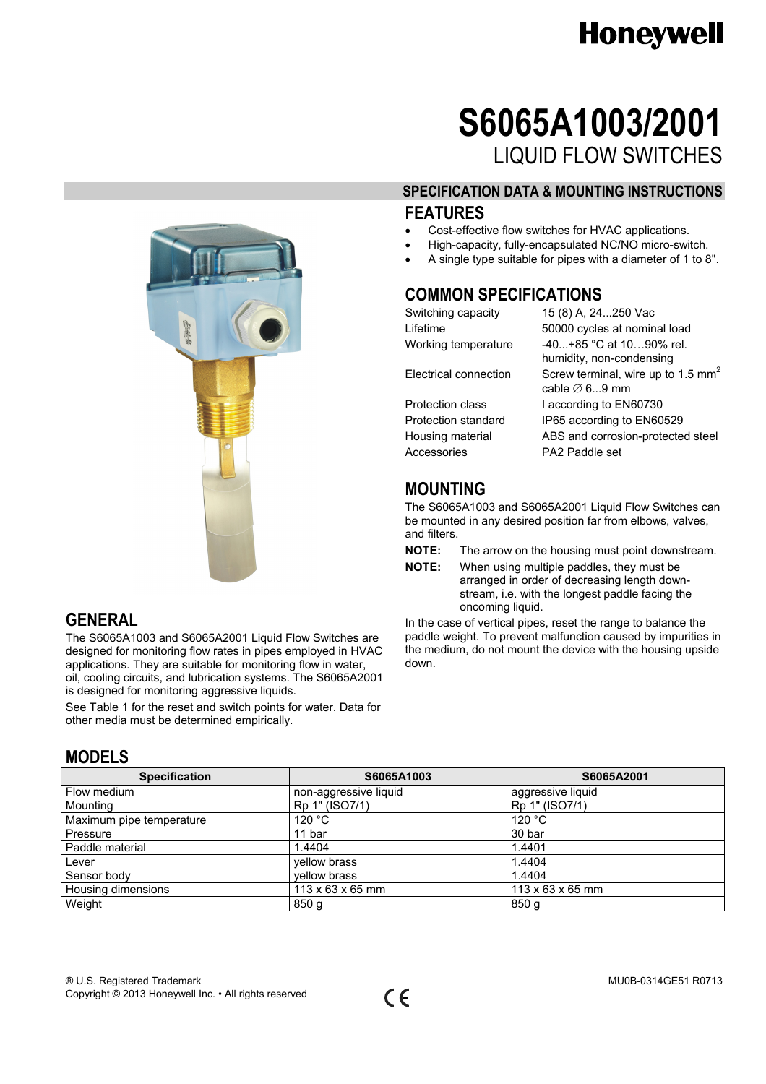# **S6065A1003/2001**  LIQUID FLOW SWITCHES

#### **SPECIFICATION DATA & MOUNTING INSTRUCTIONS FEATURES**

- Cost-effective flow switches for HVAC applications.
- High-capacity, fully-encapsulated NC/NO micro-switch.
- A single type suitable for pipes with a diameter of 1 to 8".

# **COMMON SPECIFICATIONS**

| Switching capacity    | 15 (8) A, 24250 Vac                                               |
|-----------------------|-------------------------------------------------------------------|
| Lifetime              | 50000 cycles at nominal load                                      |
| Working temperature   | -40+85 °C at 1090% rel.<br>humidity, non-condensing               |
| Electrical connection | Screw terminal, wire up to 1.5 $mm2$<br>cable $\varnothing$ 69 mm |
| Protection class      | Laccording to EN60730                                             |
| Protection standard   | IP65 according to EN60529                                         |
| Housing material      | ABS and corrosion-protected steel                                 |
| Accessories           | PA2 Paddle set                                                    |
|                       |                                                                   |

**MOUNTING**  The S6065A1003 and S6065A2001 Liquid Flow Switches can be mounted in any desired position far from elbows, valves, and filters.

**NOTE:** The arrow on the housing must point downstream.

**NOTE:** When using multiple paddles, they must be arranged in order of decreasing length downstream, i.e. with the longest paddle facing the oncoming liquid.

In the case of vertical pipes, reset the range to balance the paddle weight. To prevent malfunction caused by impurities in the medium, do not mount the device with the housing upside down.

# **GENERAL**

The S6065A1003 and S6065A2001 Liquid Flow Switches are designed for monitoring flow rates in pipes employed in HVAC applications. They are suitable for monitoring flow in water, oil, cooling circuits, and lubrication systems. The S6065A2001 is designed for monitoring aggressive liquids.

See Table 1 for the reset and switch points for water. Data for other media must be determined empirically.

# **MODELS**

| <b>Specification</b>     | S6065A1003                   | S6065A2001                   |
|--------------------------|------------------------------|------------------------------|
| Flow medium              | non-aggressive liquid        | aggressive liquid            |
| Mounting                 | Rp 1" (ISO7/1)               | Rp 1" (ISO7/1)               |
| Maximum pipe temperature | 120 $\degree$ C              | 120 °C                       |
| l Pressure               | 11 bar                       | 30 bar                       |
| Paddle material          | 1.4404                       | 1.4401                       |
| Lever                    | vellow brass                 | 1.4404                       |
| Sensor body              | vellow brass                 | 1.4404                       |
| Housing dimensions       | $113 \times 63 \times 65$ mm | $113 \times 63 \times 65$ mm |
| Weight                   | 850 <sub>g</sub>             | 850q                         |

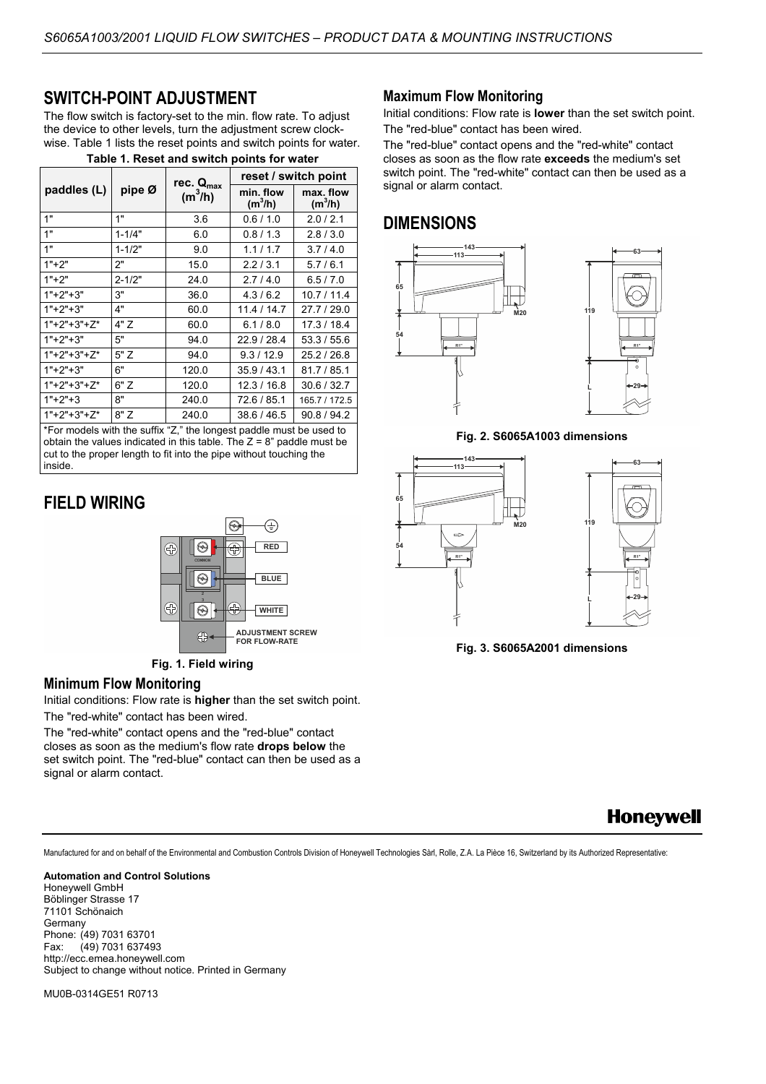#### **SWITCH-POINT ADJUSTMENT**

The flow switch is factory-set to the min. flow rate. To adjust the device to other levels, turn the adjustment screw clockwise. Table 1 lists the reset points and switch points for water.

| rapic i. Kosol and Switch points for watch |            |                |                        |                        |
|--------------------------------------------|------------|----------------|------------------------|------------------------|
| paddles (L)                                | pipe Ø     | rec. $Q_{max}$ | reset / switch point   |                        |
|                                            |            | $(m^3/h)$      | min. flow<br>$(m^3/h)$ | max. flow<br>$(m^3/h)$ |
| 1"                                         | 1"         | 3.6            | 0.6 / 1.0              | 2.0 / 2.1              |
| 1"                                         | $1 - 1/4"$ | 6.0            | 0.8/1.3                | 2.8/3.0                |
| 1"                                         | $1 - 1/2"$ | 9.0            | 1.1/1.7                | 3.7/4.0                |
| $1"+2"$                                    | 2"         | 15.0           | 2.2/3.1                | 5.7/6.1                |
| $1"+2"$                                    | $2 - 1/2"$ | 24.0           | 2.7/4.0                | 6.5/7.0                |
| $1"+2"+3"$                                 | 3"         | 36.0           | 4.3/6.2                | 10.7/11.4              |
| $1"+2"+3"$                                 | 4"         | 60.0           | 11.4 / 14.7            | 27.7 / 29.0            |
| $1"+2"+3"+Z*$                              | 4" Z       | 60.0           | 6.1 / 8.0              | 17.3 / 18.4            |
| $1"+2"+3"$                                 | 5"         | 94.0           | 22.9 / 28.4            | 53.3/55.6              |
| $1"+2"+3"+Z*$                              | 5"Z        | 94.0           | 9.3 / 12.9             | 25.2 / 26.8            |
| $1"+2"+3"$                                 | 6"         | 120.0          | 35.9 / 43.1            | 81.7 / 85.1            |
| $1"+2"+3"+Z"$                              | 6"Z        | 120.0          | 12.3/16.8              | 30.6 / 32.7            |
| $1"+2"+3$                                  | 8"         | 240.0          | 72.6 / 85.1            | 165.7 / 172.5          |
| $1"+2"+3"+Z*$                              | 8"Z        | 240.0          | 38.6 / 46.5            | 90.8 / 94.2            |

**Table 1. Reset and switch points for water** 

#### \*For models with the suffix "Z," the longest paddle must be used to obtain the values indicated in this table. The  $Z = 8$ " paddle must be cut to the proper length to fit into the pipe without touching the inside.

#### **FIELD WIRING**



**Fig. 1. Field wiring** 

#### **Minimum Flow Monitoring**

Initial conditions: Flow rate is **higher** than the set switch point. The "red-white" contact has been wired.

The "red-white" contact opens and the "red-blue" contact closes as soon as the medium's flow rate **drops below** the set switch point. The "red-blue" contact can then be used as a signal or alarm contact.

#### **Maximum Flow Monitoring**

Initial conditions: Flow rate is **lower** than the set switch point. The "red-blue" contact has been wired.

The "red-blue" contact opens and the "red-white" contact closes as soon as the flow rate **exceeds** the medium's set switch point. The "red-white" contact can then be used as a signal or alarm contact.

#### **DIMENSIONS**



**Fig. 2. S6065A1003 dimensions** 





### **Honeywell**

**63**

**29**

Manufactured for and on behalf of the Environmental and Combustion Controls Division of Honeywell Technologies Sàrl, Rolle, Z.A. La Pièce 16, Switzerland by its Authorized Representative:

#### **Automation and Control Solutions**

Honeywell GmbH Böblinger Strasse 17 71101 Schönaich Germany Phone: (49) 7031 63701 Fax: (49) 7031 637493 http://ecc.emea.honeywell.com Subject to change without notice. Printed in Germany

MU0B-0314GE51 R0713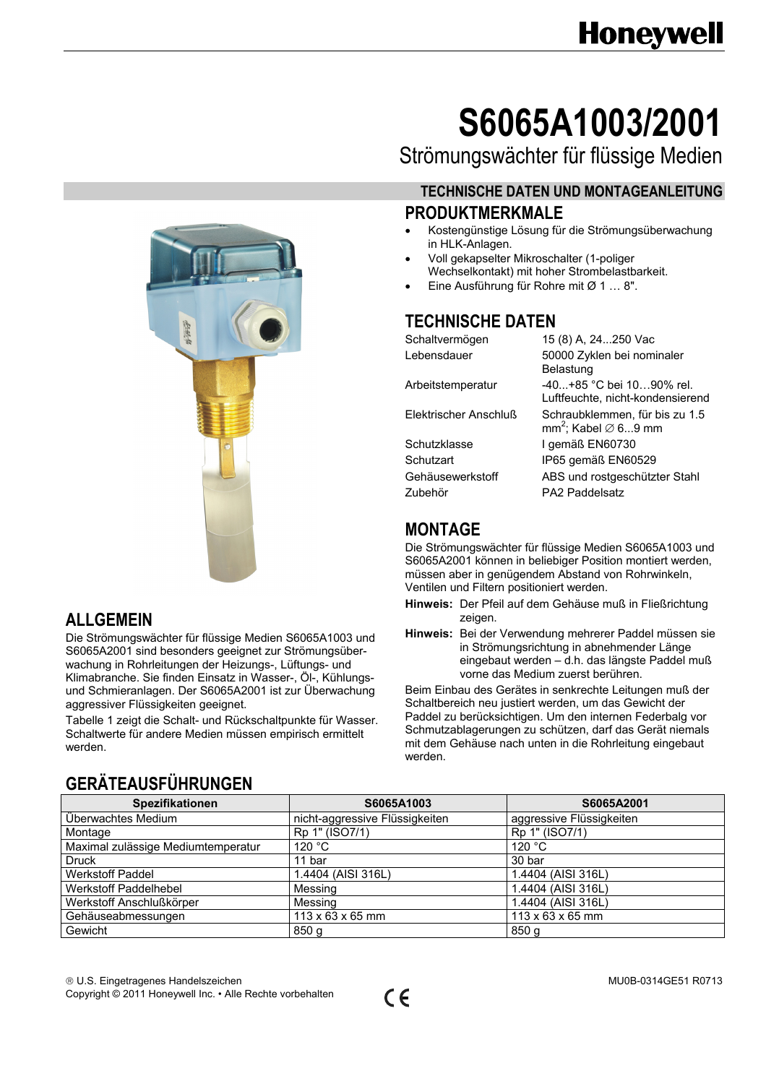# **S6065A1003/2001**

Strömungswächter für flüssige Medien

#### **TECHNISCHE DATEN UND MONTAGEANLEITUNG PRODUKTMERKMALE**

- Kostengünstige Lösung für die Strömungsüberwachung in HLK-Anlagen.
- Voll gekapselter Mikroschalter (1-poliger Wechselkontakt) mit hoher Strombelastbarkeit.
- Eine Ausführung für Rohre mit Ø 1 … 8".

# **TECHNISCHE DATEN**

| Schaltvermögen        | 15 (8) A, 24250 Vac                         |
|-----------------------|---------------------------------------------|
| Lebensdauer           | 50000 Zyklen bei nominaler                  |
|                       | Belastung                                   |
| Arbeitstemperatur     | -40+85 °C bei 1090% rel.                    |
|                       | Luftfeuchte, nicht-kondensierend            |
| Elektrischer Anschluß | Schraubklemmen, für bis zu 1.5              |
|                       | mm <sup>2</sup> ; Kabel $\varnothing$ 69 mm |
| Schutzklasse          | I gemäß EN60730                             |
| Schutzart             | IP65 gemäß EN60529                          |
| Gehäusewerkstoff      | ABS und rostgeschützter Stahl               |
| Zubehör               | PA2 Paddelsatz                              |
|                       |                                             |

## **MONTAGE**

Die Strömungswächter für flüssige Medien S6065A1003 und S6065A2001 können in beliebiger Position montiert werden, müssen aber in genügendem Abstand von Rohrwinkeln, Ventilen und Filtern positioniert werden.

- **Hinweis:** Der Pfeil auf dem Gehäuse muß in Fließrichtung zeigen.
- **Hinweis:** Bei der Verwendung mehrerer Paddel müssen sie in Strömungsrichtung in abnehmender Länge eingebaut werden – d.h. das längste Paddel muß vorne das Medium zuerst berühren.

Beim Einbau des Gerätes in senkrechte Leitungen muß der Schaltbereich neu justiert werden, um das Gewicht der Paddel zu berücksichtigen. Um den internen Federbalg vor Schmutzablagerungen zu schützen, darf das Gerät niemals mit dem Gehäuse nach unten in die Rohrleitung eingebaut werden.

| <b>Spezifikationen</b>             | S6065A1003                     | S6065A2001                   |
|------------------------------------|--------------------------------|------------------------------|
| Überwachtes Medium                 | nicht-aggressive Flüssigkeiten | aggressive Flüssigkeiten     |
| Montage                            | Rp 1" (ISO7/1)                 | Rp 1" (ISO7/1)               |
| Maximal zulässige Mediumtemperatur | 120 °C                         | 120 °C                       |
| <b>Druck</b>                       | 11 bar                         | 30 bar                       |
| <b>Werkstoff Paddel</b>            | 1.4404 (AISI 316L)             | 1.4404 (AISI 316L)           |
| Werkstoff Paddelhebel              | Messing                        | 1.4404 (AISI 316L)           |
| Werkstoff Anschlußkörper           | Messing                        | 1.4404 (AISI 316L)           |
| Gehäuseabmessungen                 | $113 \times 63 \times 65$ mm   | $113 \times 63 \times 65$ mm |
| Gewicht                            | 850 <sub>g</sub>               | 850 g                        |

# **GERÄTEAUSFÜHRUNGEN**

aggressiver Flüssigkeiten geeignet.

Die Strömungswächter für flüssige Medien S6065A1003 und S6065A2001 sind besonders geeignet zur Strömungsüberwachung in Rohrleitungen der Heizungs-, Lüftungs- und Klimabranche. Sie finden Einsatz in Wasser-, Öl-, Kühlungsund Schmieranlagen. Der S6065A2001 ist zur Überwachung

Tabelle 1 zeigt die Schalt- und Rückschaltpunkte für Wasser. Schaltwerte für andere Medien müssen empirisch ermittelt

**ALLGEMEIN** 

werden.

 U.S. Eingetragenes Handelszeichen MU0B-0314GE51 R0713 Copyright © 2011 Honeywell Inc. • Alle Rechte vorbehalten